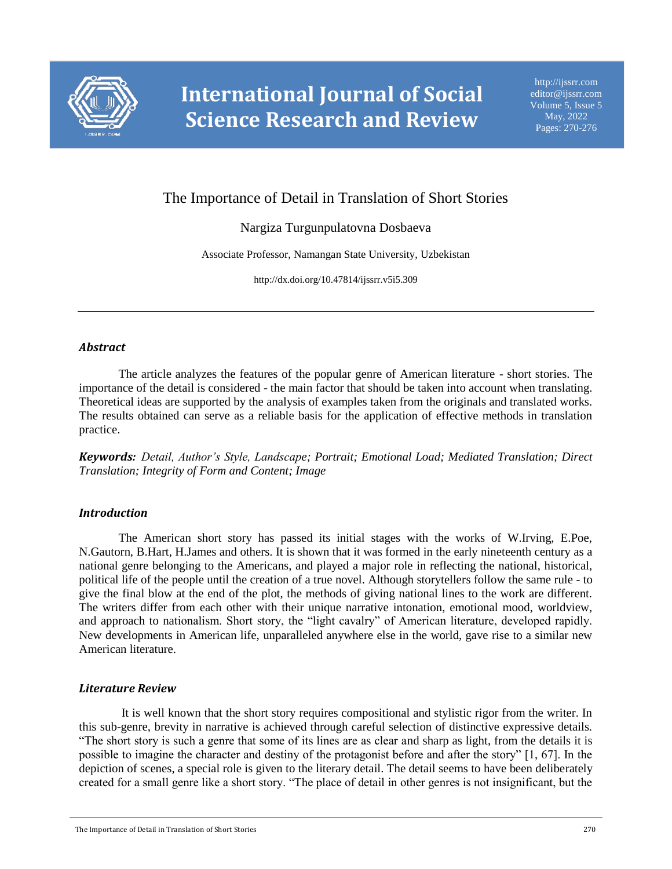

# The Importance of Detail in Translation of Short Stories

## Nargiza Turgunpulatovna Dosbaeva

Associate Professor, Namangan State University, Uzbekistan

http://dx.doi.org/10.47814/ijssrr.v5i5.309

#### *Abstract*

The article analyzes the features of the popular genre of American literature - short stories. The importance of the detail is considered - the main factor that should be taken into account when translating. Theoretical ideas are supported by the analysis of examples taken from the originals and translated works. The results obtained can serve as a reliable basis for the application of effective methods in translation practice.

*Keywords: Detail, Author's Style, Landscape; Portrait; Emotional Load; Mediated Translation; Direct Translation; Integrity of Form and Content; Image*

#### *Introduction*

The American short story has passed its initial stages with the works of W.Irving, E.Poe, N.Gautorn, B.Hart, H.James and others. It is shown that it was formed in the early nineteenth century as a national genre belonging to the Americans, and played a major role in reflecting the national, historical, political life of the people until the creation of a true novel. Although storytellers follow the same rule - to give the final blow at the end of the plot, the methods of giving national lines to the work are different. The writers differ from each other with their unique narrative intonation, emotional mood, worldview, and approach to nationalism. Short story, the "light cavalry" of American literature, developed rapidly. New developments in American life, unparalleled anywhere else in the world, gave rise to a similar new American literature.

#### *Literature Review*

It is well known that the short story requires compositional and stylistic rigor from the writer. In this sub-genre, brevity in narrative is achieved through careful selection of distinctive expressive details. "The short story is such a genre that some of its lines are as clear and sharp as light, from the details it is possible to imagine the character and destiny of the protagonist before and after the story" [1, 67]. In the depiction of scenes, a special role is given to the literary detail. The detail seems to have been deliberately created for a small genre like a short story. "The place of detail in other genres is not insignificant, but the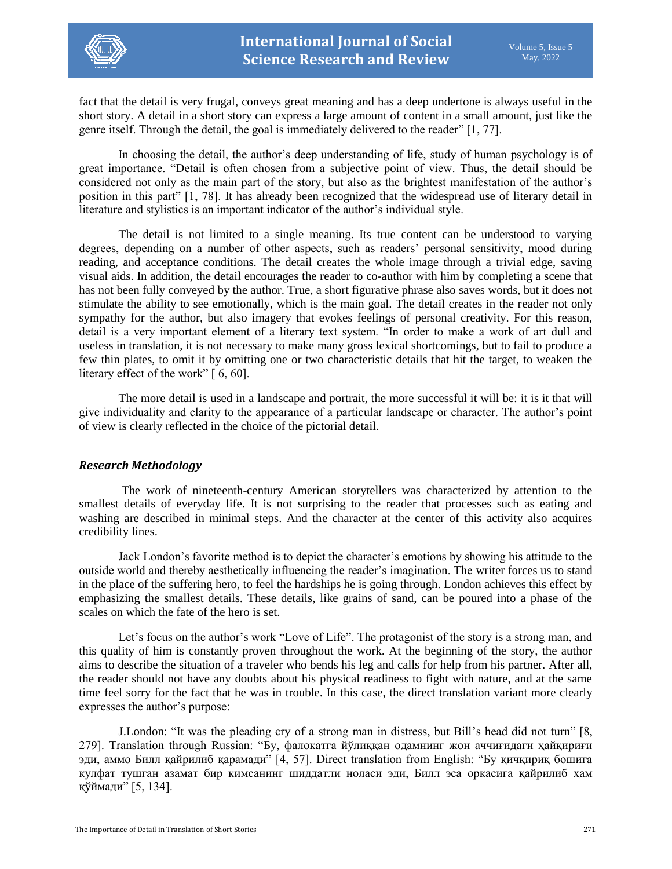fact that the detail is very frugal, conveys great meaning and has a deep undertone is always useful in the short story. A detail in a short story can express a large amount of content in a small amount, just like the genre itself. Through the detail, the goal is immediately delivered to the reader" [1, 77].

In choosing the detail, the author's deep understanding of life, study of human psychology is of great importance. "Detail is often chosen from a subjective point of view. Thus, the detail should be considered not only as the main part of the story, but also as the brightest manifestation of the author's position in this part" [1, 78]. It has already been recognized that the widespread use of literary detail in literature and stylistics is an important indicator of the author's individual style.

The detail is not limited to a single meaning. Its true content can be understood to varying degrees, depending on a number of other aspects, such as readers' personal sensitivity, mood during reading, and acceptance conditions. The detail creates the whole image through a trivial edge, saving visual aids. In addition, the detail encourages the reader to co-author with him by completing a scene that has not been fully conveyed by the author. True, a short figurative phrase also saves words, but it does not stimulate the ability to see emotionally, which is the main goal. The detail creates in the reader not only sympathy for the author, but also imagery that evokes feelings of personal creativity. For this reason, detail is a very important element of a literary text system. "In order to make a work of art dull and useless in translation, it is not necessary to make many gross lexical shortcomings, but to fail to produce a few thin plates, to omit it by omitting one or two characteristic details that hit the target, to weaken the literary effect of the work" [ 6, 60].

The more detail is used in a landscape and portrait, the more successful it will be: it is it that will give individuality and clarity to the appearance of a particular landscape or character. The author's point of view is clearly reflected in the choice of the pictorial detail.

### *Research Methodology*

The work of nineteenth-century American storytellers was characterized by attention to the smallest details of everyday life. It is not surprising to the reader that processes such as eating and washing are described in minimal steps. And the character at the center of this activity also acquires credibility lines.

Jack London's favorite method is to depict the character's emotions by showing his attitude to the outside world and thereby aesthetically influencing the reader's imagination. The writer forces us to stand in the place of the suffering hero, to feel the hardships he is going through. London achieves this effect by emphasizing the smallest details. These details, like grains of sand, can be poured into a phase of the scales on which the fate of the hero is set.

Let's focus on the author's work "Love of Life". The protagonist of the story is a strong man, and this quality of him is constantly proven throughout the work. At the beginning of the story, the author aims to describe the situation of a traveler who bends his leg and calls for help from his partner. After all, the reader should not have any doubts about his physical readiness to fight with nature, and at the same time feel sorry for the fact that he was in trouble. In this case, the direct translation variant more clearly expresses the author's purpose:

J.London: "It was the pleading cry of a strong man in distress, but Bill's head did not turn" [8, 279]. Translation through Russian: "Бу, фалокатга йўлиққан одамнинг жон аччиғидаги ҳайқириғи эди, аммо Билл қайрилиб қарамади" [4, 57]. Direct translation from English: "Бу қичқириқ бошига кулфат тушган азамат бир кимсанинг шиддатли ноласи эди, Билл эса орқасига қайрилиб ҳам қўймади" [5, 134].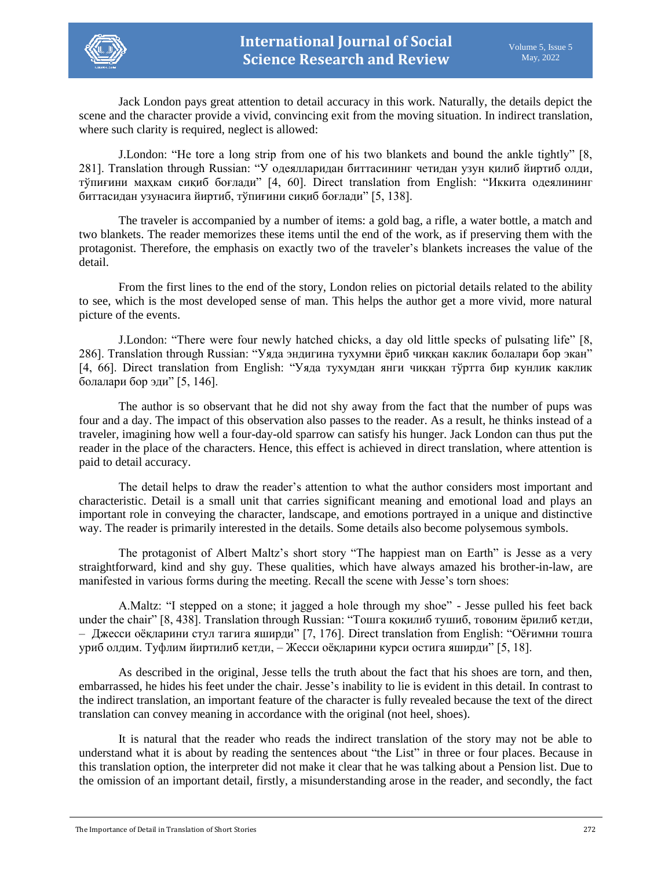

Jack London pays great attention to detail accuracy in this work. Naturally, the details depict the scene and the character provide a vivid, convincing exit from the moving situation. In indirect translation, where such clarity is required, neglect is allowed:

J.London: "He tore a long strip from one of his two blankets and bound the ankle tightly" [8, 281]. Translation through Russian: "У одеялларидан биттасининг четидан узун қилиб йиртиб олди, тўпиғини маҳкам сиқиб боғлади" [4, 60]. Direct translation from English: "Иккита одеялининг биттасидан узунасига йиртиб, тўпиғини сиқиб боғлади" [5, 138].

The traveler is accompanied by a number of items: a gold bag, a rifle, a water bottle, a match and two blankets. The reader memorizes these items until the end of the work, as if preserving them with the protagonist. Therefore, the emphasis on exactly two of the traveler's blankets increases the value of the detail.

From the first lines to the end of the story, London relies on pictorial details related to the ability to see, which is the most developed sense of man. This helps the author get a more vivid, more natural picture of the events.

J.London: "There were four newly hatched chicks, a day old little specks of pulsating life" [8, 286]. Translation through Russian: "Уяда эндигина тухумни ёриб чиққан каклик болалари бор экан" [4, 66]. Direct translation from English: "Уяда тухумдан янги чиққан тўртта бир кунлик каклик болалари бор эди" [5, 146].

The author is so observant that he did not shy away from the fact that the number of pups was four and a day. The impact of this observation also passes to the reader. As a result, he thinks instead of a traveler, imagining how well a four-day-old sparrow can satisfy his hunger. Jack London can thus put the reader in the place of the characters. Hence, this effect is achieved in direct translation, where attention is paid to detail accuracy.

The detail helps to draw the reader's attention to what the author considers most important and characteristic. Detail is a small unit that carries significant meaning and emotional load and plays an important role in conveying the character, landscape, and emotions portrayed in a unique and distinctive way. The reader is primarily interested in the details. Some details also become polysemous symbols.

The protagonist of Albert Maltz's short story "The happiest man on Earth" is Jesse as a very straightforward, kind and shy guy. These qualities, which have always amazed his brother-in-law, are manifested in various forms during the meeting. Recall the scene with Jesse's torn shoes:

А.Мaltz: "I stepped on a stone; it jagged a hole through my shoe" - Jesse pulled his feet back under the chair" [8, 438]. Translation through Russian: "Тошга қоқилиб тушиб, товоним ёрилиб кетди, – Джесси оёқларини стул тагига яширди" [7, 176]. Direct translation from English: "Оёғимни тошга уриб олдим. Туфлим йиртилиб кетди, – Жесси оёқларини курси остига яширди" [5, 18].

As described in the original, Jesse tells the truth about the fact that his shoes are torn, and then, embarrassed, he hides his feet under the chair. Jesse's inability to lie is evident in this detail. In contrast to the indirect translation, an important feature of the character is fully revealed because the text of the direct translation can convey meaning in accordance with the original (not heel, shoes).

It is natural that the reader who reads the indirect translation of the story may not be able to understand what it is about by reading the sentences about "the List" in three or four places. Because in this translation option, the interpreter did not make it clear that he was talking about a Pension list. Due to the omission of an important detail, firstly, a misunderstanding arose in the reader, and secondly, the fact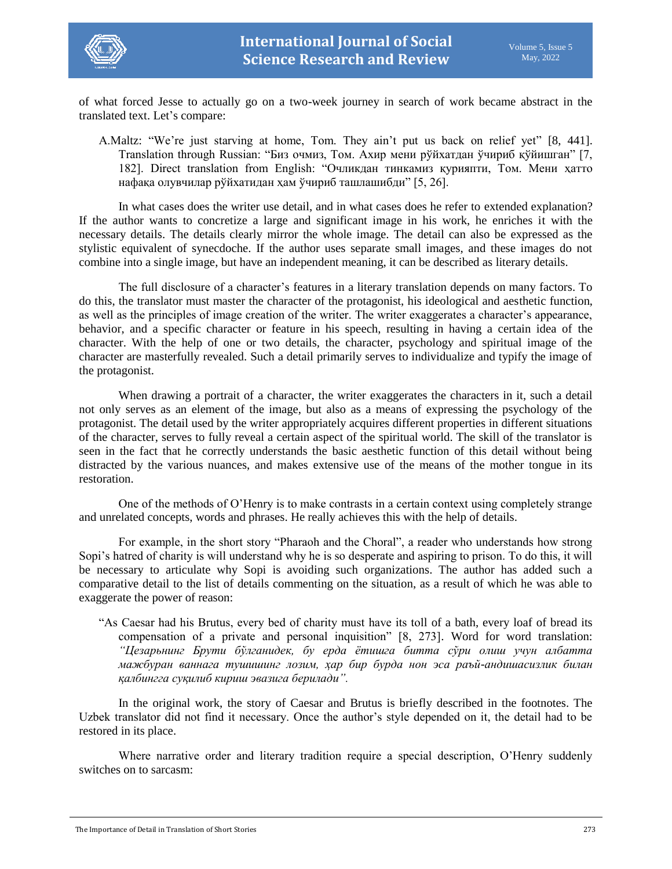



of what forced Jesse to actually go on a two-week journey in search of work became abstract in the translated text. Let's compare:

А.Мaltz: "We're just starving at home, Tom. They ain't put us back on relief yet" [8, 441]. Translation through Russian: "Биз очмиз, Том. Ахир мени рўйхатдан ўчириб қўйишган" [7, 182]. Direct translation from English: "Очликдан тинкамиз қурияпти, Том. Мени ҳатто нафақа олувчилар рўйхатидан ҳам ўчириб ташлашибди" [5, 26].

In what cases does the writer use detail, and in what cases does he refer to extended explanation? If the author wants to concretize a large and significant image in his work, he enriches it with the necessary details. The details clearly mirror the whole image. The detail can also be expressed as the stylistic equivalent of synecdoche. If the author uses separate small images, and these images do not combine into a single image, but have an independent meaning, it can be described as literary details.

The full disclosure of a character's features in a literary translation depends on many factors. To do this, the translator must master the character of the protagonist, his ideological and aesthetic function, as well as the principles of image creation of the writer. The writer exaggerates a character's appearance, behavior, and a specific character or feature in his speech, resulting in having a certain idea of the character. With the help of one or two details, the character, psychology and spiritual image of the character are masterfully revealed. Such a detail primarily serves to individualize and typify the image of the protagonist.

When drawing a portrait of a character, the writer exaggerates the characters in it, such a detail not only serves as an element of the image, but also as a means of expressing the psychology of the protagonist. The detail used by the writer appropriately acquires different properties in different situations of the character, serves to fully reveal a certain aspect of the spiritual world. The skill of the translator is seen in the fact that he correctly understands the basic aesthetic function of this detail without being distracted by the various nuances, and makes extensive use of the means of the mother tongue in its restoration.

One of the methods of O'Henry is to make contrasts in a certain context using completely strange and unrelated concepts, words and phrases. He really achieves this with the help of details.

For example, in the short story "Pharaoh and the Choral", a reader who understands how strong Sopi's hatred of charity is will understand why he is so desperate and aspiring to prison. To do this, it will be necessary to articulate why Sopi is avoiding such organizations. The author has added such a comparative detail to the list of details commenting on the situation, as a result of which he was able to exaggerate the power of reason:

"As Caesar had his Brutus, every bed of charity must have its toll of a bath, every loaf of bread its compensation of a private and personal inquisition" [8, 273]. Word for word translation: *"Цезарьнинг Брути бўлганидек, бу ерда ётишга битта сўри олиш учун албатта мажбуран ваннага тушишинг лозим, ҳар бир бурда нон эса раъй-андишасизлик билан қалбингга суқилиб кириш эвазига берилади".*

In the original work, the story of Caesar and Brutus is briefly described in the footnotes. The Uzbek translator did not find it necessary. Once the author's style depended on it, the detail had to be restored in its place.

Where narrative order and literary tradition require a special description, O'Henry suddenly switches on to sarcasm: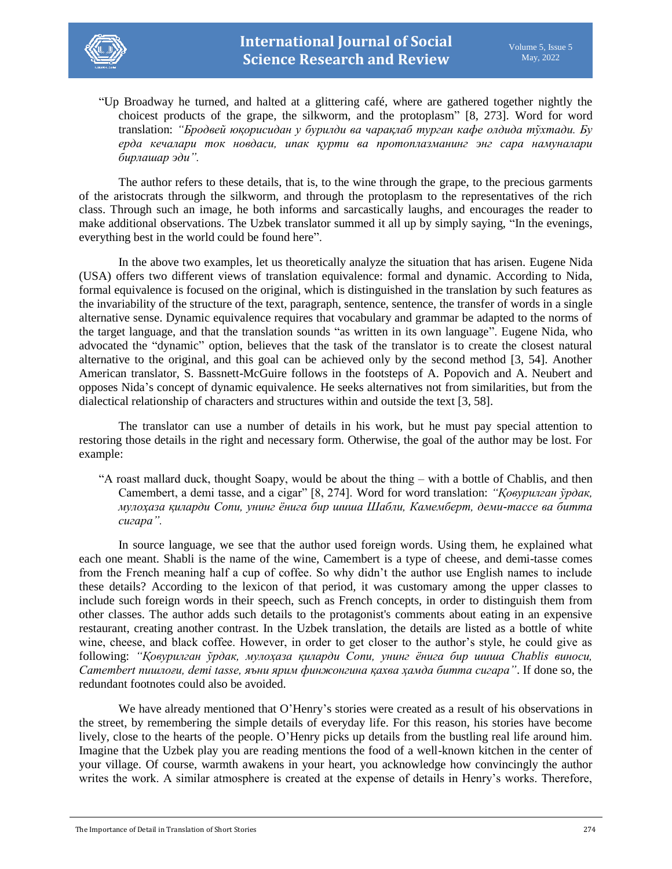

"Up Broadway he turned, and halted at a glittering café, where are gathered together nightly the choicest products of the grape, the silkworm, and the protoplasm" [8, 273]. Word for word translation: *"Бродвей юқорисидан у бурилди ва чарақлаб турган кафе олдида тўхтади. Бу ерда кечалари ток новдаси, ипак қурти ва протоплазманинг энг сара намуналари бирлашар эди".*

The author refers to these details, that is, to the wine through the grape, to the precious garments of the aristocrats through the silkworm, and through the protoplasm to the representatives of the rich class. Through such an image, he both informs and sarcastically laughs, and encourages the reader to make additional observations. The Uzbek translator summed it all up by simply saying, "In the evenings, everything best in the world could be found here".

In the above two examples, let us theoretically analyze the situation that has arisen. Eugene Nida (USA) offers two different views of translation equivalence: formal and dynamic. According to Nida, formal equivalence is focused on the original, which is distinguished in the translation by such features as the invariability of the structure of the text, paragraph, sentence, sentence, the transfer of words in a single alternative sense. Dynamic equivalence requires that vocabulary and grammar be adapted to the norms of the target language, and that the translation sounds "as written in its own language". Eugene Nida, who advocated the "dynamic" option, believes that the task of the translator is to create the closest natural alternative to the original, and this goal can be achieved only by the second method [3, 54]. Another American translator, S. Bassnett-McGuire follows in the footsteps of A. Popovich and A. Neubert and opposes Nida's concept of dynamic equivalence. He seeks alternatives not from similarities, but from the dialectical relationship of characters and structures within and outside the text [3, 58].

The translator can use a number of details in his work, but he must pay special attention to restoring those details in the right and necessary form. Otherwise, the goal of the author may be lost. For example:

"A roast mallard duck, thought Soapy, would be about the thing – with a bottle of Chablis, and then Camembert, a demi tasse, and a cigar" [8, 274]. Word for word translation: *"Қовурилган ўрдак, мулоҳаза қиларди Сопи, унинг ёнига бир шиша Шабли, Камемберт, деми-тассе ва битта сигара".*

In source language, we see that the author used foreign words. Using them, he explained what each one meant. Shabli is the name of the wine, Camembert is a type of cheese, and demi-tasse comes from the French meaning half a cup of coffee. So why didn't the author use English names to include these details? According to the lexicon of that period, it was customary among the upper classes to include such foreign words in their speech, such as French concepts, in order to distinguish them from other classes. The author adds such details to the protagonist's comments about eating in an expensive restaurant, creating another contrast. In the Uzbek translation, the details are listed as a bottle of white wine, cheese, and black coffee. However, in order to get closer to the author's style, he could give as following: *"Қовурилган ўрдак, мулоҳаза қиларди Сопи, унинг ёнига бир шиша Chablis виноси, Camembert пишлоғи, demi tasse, яъни ярим финжонгина қахва ҳамда битта сигара"*. If done so, the redundant footnotes could also be avoided.

We have already mentioned that O'Henry's stories were created as a result of his observations in the street, by remembering the simple details of everyday life. For this reason, his stories have become lively, close to the hearts of the people. O'Henry picks up details from the bustling real life around him. Imagine that the Uzbek play you are reading mentions the food of a well-known kitchen in the center of your village. Of course, warmth awakens in your heart, you acknowledge how convincingly the author writes the work. A similar atmosphere is created at the expense of details in Henry's works. Therefore,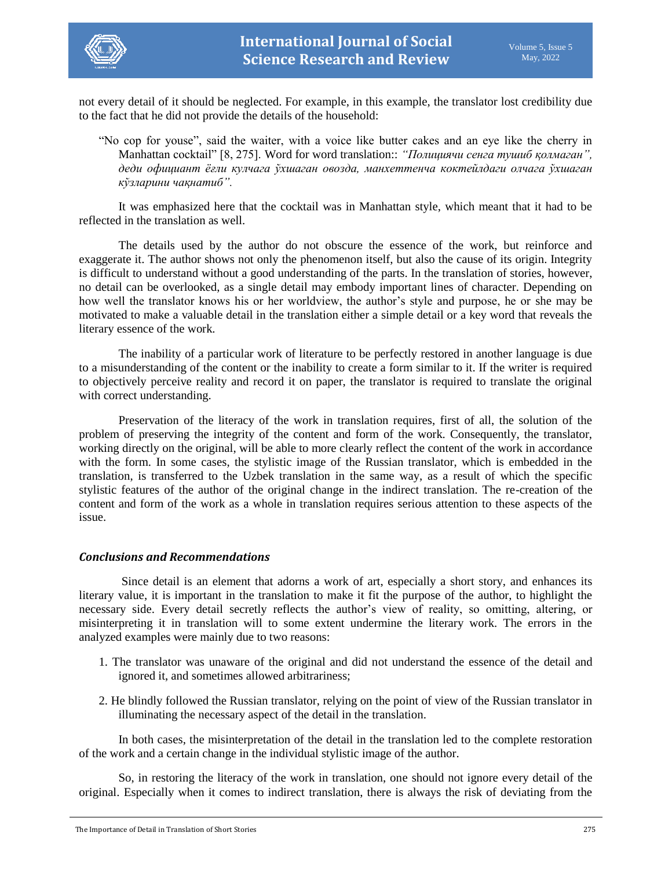

not every detail of it should be neglected. For example, in this example, the translator lost credibility due to the fact that he did not provide the details of the household:

"No cop for youse", said the waiter, with a voice like butter cakes and an eye like the cherry in Manhattan cocktail" [8, 275]. Word for word translation:: *"Полициячи сенга тушиб қолмаган", деди официант ёғли кулчага ўхшаган овозда, манхеттенча коктейлдаги олчага ўхшаган кўзларини чақнатиб".*

It was emphasized here that the cocktail was in Manhattan style, which meant that it had to be reflected in the translation as well.

The details used by the author do not obscure the essence of the work, but reinforce and exaggerate it. The author shows not only the phenomenon itself, but also the cause of its origin. Integrity is difficult to understand without a good understanding of the parts. In the translation of stories, however, no detail can be overlooked, as a single detail may embody important lines of character. Depending on how well the translator knows his or her worldview, the author's style and purpose, he or she may be motivated to make a valuable detail in the translation either a simple detail or a key word that reveals the literary essence of the work.

The inability of a particular work of literature to be perfectly restored in another language is due to a misunderstanding of the content or the inability to create a form similar to it. If the writer is required to objectively perceive reality and record it on paper, the translator is required to translate the original with correct understanding.

Preservation of the literacy of the work in translation requires, first of all, the solution of the problem of preserving the integrity of the content and form of the work. Consequently, the translator, working directly on the original, will be able to more clearly reflect the content of the work in accordance with the form. In some cases, the stylistic image of the Russian translator, which is embedded in the translation, is transferred to the Uzbek translation in the same way, as a result of which the specific stylistic features of the author of the original change in the indirect translation. The re-creation of the content and form of the work as a whole in translation requires serious attention to these aspects of the issue.

#### *Conclusions and Recommendations*

Since detail is an element that adorns a work of art, especially a short story, and enhances its literary value, it is important in the translation to make it fit the purpose of the author, to highlight the necessary side. Every detail secretly reflects the author's view of reality, so omitting, altering, or misinterpreting it in translation will to some extent undermine the literary work. The errors in the analyzed examples were mainly due to two reasons:

- 1. The translator was unaware of the original and did not understand the essence of the detail and ignored it, and sometimes allowed arbitrariness;
- 2. He blindly followed the Russian translator, relying on the point of view of the Russian translator in illuminating the necessary aspect of the detail in the translation.

In both cases, the misinterpretation of the detail in the translation led to the complete restoration of the work and a certain change in the individual stylistic image of the author.

So, in restoring the literacy of the work in translation, one should not ignore every detail of the original. Especially when it comes to indirect translation, there is always the risk of deviating from the